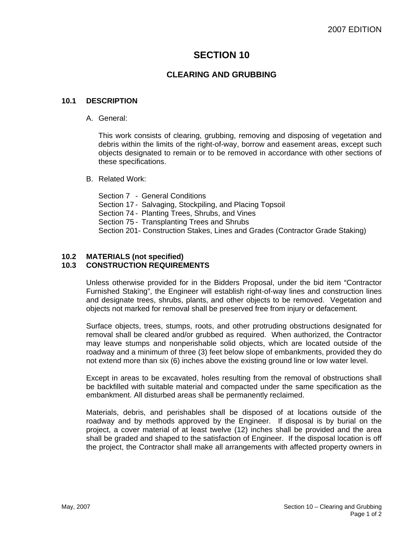# **SECTION 10**

## **CLEARING AND GRUBBING**

#### **10.1 DESCRIPTION**

#### A. General:

This work consists of clearing, grubbing, removing and disposing of vegetation and debris within the limits of the right-of-way, borrow and easement areas, except such objects designated to remain or to be removed in accordance with other sections of these specifications.

B. Related Work:

Section 7 - General Conditions Section 17 - Salvaging, Stockpiling, and Placing Topsoil Section 74 - Planting Trees, Shrubs, and Vines Section 75 - Transplanting Trees and Shrubs Section 201- Construction Stakes, Lines and Grades (Contractor Grade Staking)

### **10.2 MATERIALS (not specified)**

### **10.3 CONSTRUCTION REQUIREMENTS**

Unless otherwise provided for in the Bidders Proposal, under the bid item "Contractor Furnished Staking", the Engineer will establish right-of-way lines and construction lines and designate trees, shrubs, plants, and other objects to be removed. Vegetation and objects not marked for removal shall be preserved free from injury or defacement.

Surface objects, trees, stumps, roots, and other protruding obstructions designated for removal shall be cleared and/or grubbed as required. When authorized, the Contractor may leave stumps and nonperishable solid objects, which are located outside of the roadway and a minimum of three (3) feet below slope of embankments, provided they do not extend more than six (6) inches above the existing ground line or low water level.

Except in areas to be excavated, holes resulting from the removal of obstructions shall be backfilled with suitable material and compacted under the same specification as the embankment. All disturbed areas shall be permanently reclaimed.

Materials, debris, and perishables shall be disposed of at locations outside of the roadway and by methods approved by the Engineer. If disposal is by burial on the project, a cover material of at least twelve (12) inches shall be provided and the area shall be graded and shaped to the satisfaction of Engineer. If the disposal location is off the project, the Contractor shall make all arrangements with affected property owners in